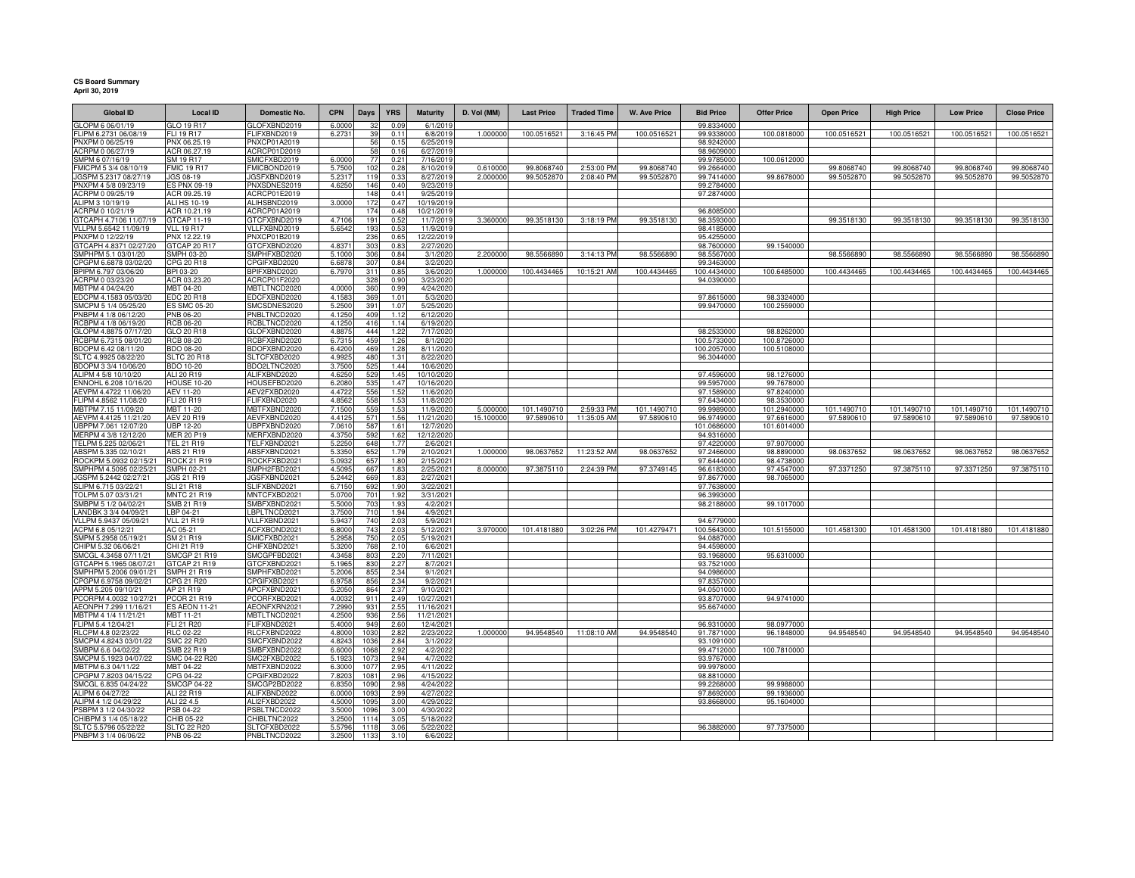## **CS Board Summary April 30, 2019**

| <b>Global ID</b>                                | <b>Local ID</b>                   | Domestic No.                 | <b>CPN</b>       | <b>Days</b>     | <b>YRS</b>       | <b>Maturity</b>          | D. Vol (MM) | <b>Last Price</b> | <b>Traded Time</b> | <b>W. Ave Price</b> | <b>Bid Price</b>          | <b>Offer Price</b>        | <b>Open Price</b> | <b>High Price</b> | <b>Low Price</b> | <b>Close Price</b> |
|-------------------------------------------------|-----------------------------------|------------------------------|------------------|-----------------|------------------|--------------------------|-------------|-------------------|--------------------|---------------------|---------------------------|---------------------------|-------------------|-------------------|------------------|--------------------|
| GLOPM 6 06/01/19                                | GLO 19 R17                        | GLOFXBND2019                 | 6,0000           | 32              | 0.09             | 6/1/201                  |             |                   |                    |                     | 99.8334000                |                           |                   |                   |                  |                    |
| FLIPM 6.2731 06/08/19                           | FLI 19 R17                        | FLIFXBND2019                 | 6.2731           | 39              | 0.11             | 6/8/2019                 | 1.000000    | 100.0516521       | 3:16:45 PM         | 100.0516521         | 99.9338000                | 100.0818000               | 100.0516521       | 100.0516521       | 100.0516521      | 100.0516521        |
| PNXPM 0 06/25/19                                | PNX 06.25.19                      | PNXCP01A2019                 |                  | 56              | 0.15             | 6/25/2019                |             |                   |                    |                     | 98.9242000                |                           |                   |                   |                  |                    |
| ACRPM 0 06/27/19<br>SMPM 6 07/16/19             | ACR 06.27.19<br>SM 19 R17         | ACRCP01D2019<br>SMICFXBD2019 | 6,0000           | 58<br>77        | 0.16<br>0.21     | 6/27/2019<br>7/16/2019   |             |                   |                    |                     | 98.9609000<br>99.9785000  | 100.0612000               |                   |                   |                  |                    |
| FMICPM 5 3/4 08/10/19                           | <b>FMIC 19 R17</b>                | FMICBOND2019                 | 5,7500           | 102             | 0.28             | 8/10/2019                | 0.61000     | 99.8068740        | 2:53:00 PM         | 99.8068740          | 99.2664000                |                           | 99.8068740        | 99.8068740        | 99.8068740       | 99.8068740         |
| JGSPM 5.2317 08/27/19                           | JGS 08-19                         | <b>IGSFXBND2019</b>          | 5.2317           | 119             | 0.33             | 8/27/2019                | 2.000000    | 99.5052870        | 2:08:40 PM         | 99.5052870          | 99.7414000                | 99.8678000                | 99.5052870        | 99.5052870        | 99.5052870       | 99.5052870         |
| PNXPM 4 5/8 09/23/19                            | ES PNX 09-19                      | PNXSDNES2019                 | 4.6250           | 146             | 0.40             | 9/23/2019                |             |                   |                    |                     | 99.2784000                |                           |                   |                   |                  |                    |
| ACRPM 0 09/25/19                                | ACR 09.25.19                      | ACRCP01E2019                 |                  | 148             | 0.41             | 9/25/2019                |             |                   |                    |                     | 97.2874000                |                           |                   |                   |                  |                    |
| ALIPM 3 10/19/19                                | ALI HS 10-19                      | ALIHSBND2019                 | 3.0000           | 172             | 0.47             | 10/19/2019               |             |                   |                    |                     |                           |                           |                   |                   |                  |                    |
| ACRPM 0 10/21/19                                | ACR 10.21.19                      | ACRCP01A2019                 |                  | 174             | 0.48             | 10/21/2019               |             |                   |                    |                     | 96.8085000                |                           |                   |                   |                  |                    |
| GTCAPH 4.7106 11/07/19<br>VLLPM 5.6542 11/09/19 | GTCAP 11-19<br><b>VLL 19 R17</b>  | GTCFXBND2019<br>VLLFXBND2019 | 4.7106<br>5.6542 | 191<br>193      | 0.52<br>0.53     | 11/7/2019<br>11/9/2019   | 3.360000    | 99.3518130        | 3:18:19 PM         | 99.3518130          | 98.3593000<br>98.4185000  |                           | 99.3518130        | 99.3518130        | 99.3518130       | 99.3518130         |
| PNXPM 0 12/22/19                                | PNX 12.22.19                      | PNXCP01B2019                 |                  | 236             | 0.65             | 12/22/2019               |             |                   |                    |                     | 95.4255000                |                           |                   |                   |                  |                    |
| GTCAPH 4.8371 02/27/20                          | GTCAP 20 R17                      | GTCFXBND2020                 | 4.837            | 303             | 0.83             | 2/27/2020                |             |                   |                    |                     | 98.7600000                | 99.1540000                |                   |                   |                  |                    |
| SMPHPM 5.1 03/01/20                             | SMPH 03-20                        | SMPHFXBD2020                 | 5.1000           | 306             | 0.84             | 3/1/2020                 | 2.200000    | 98.5566890        | 3:14:13 PM         | 98.5566890          | 98.5567000                |                           | 98.5566890        | 98.5566890        | 98.5566890       | 98.5566890         |
| CPGPM 6.6878 03/02/20                           | CPG 20 R18                        | CPGIFXBD2020                 | 6.6878           | 307             | 0.84             | 3/2/2020                 |             |                   |                    |                     | 99.3463000                |                           |                   |                   |                  |                    |
| BPIPM 6.797 03/06/20                            | BPI 03-20                         | BPIFXBND2020                 | 6.7970           | 311             | 0.85             | 3/6/2020                 | 1.00000     | 100.4434465       | 10:15:21 AM        | 100.4434465         | 100.4434000               | 100.6485000               | 100.4434465       | 100.4434465       | 100.4434465      | 100.4434465        |
| ACRPM 0 03/23/20                                | ACR 03.23.20                      | ACRCP01F2020                 |                  | 328             | 0.90             | 3/23/2020                |             |                   |                    |                     | 94.0390000                |                           |                   |                   |                  |                    |
| MBTPM 4 04/24/20                                | MBT 04-20                         | MBTLTNCD2020                 | 4.0000           | 360             | 0.99             | 4/24/2020                |             |                   |                    |                     |                           |                           |                   |                   |                  |                    |
| EDCPM 4.1583 05/03/20<br>SMCPM 5 1/4 05/25/20   | EDC 20 R18<br><b>ES SMC 05-20</b> | EDCFXBND2020<br>SMCSDNES2020 | 4.158<br>5.250   | 369<br>391      | 1.01<br>1.07     | 5/3/2020<br>5/25/2020    |             |                   |                    |                     | 97.8615000<br>99.9470000  | 98.3324000<br>100.2559000 |                   |                   |                  |                    |
| PNBPM 4 1/8 06/12/20                            | PNB 06-20                         | PNBLTNCD2020                 | 4.125            | 409             | 1.12             | 6/12/2020                |             |                   |                    |                     |                           |                           |                   |                   |                  |                    |
| RCBPM 4 1/8 06/19/20                            | <b>RCB 06-20</b>                  | RCBLTNCD2020                 | 4.125            | 416             | 1.14             | 6/19/2020                |             |                   |                    |                     |                           |                           |                   |                   |                  |                    |
| GLOPM 4.8875 07/17/20                           | GLO 20 R18                        | GLOFXBND2020                 | 4.887            | 444             | 1.22             | 7/17/2020                |             |                   |                    |                     | 98.2533000                | 98.8262000                |                   |                   |                  |                    |
| RCBPM 6.7315 08/01/20                           | <b>RCB 08-20</b>                  | RCBFXBND2020                 | 6.731            | 459             | 1.26             | 8/1/2020                 |             |                   |                    |                     | 100.5733000               | 100.8726000               |                   |                   |                  |                    |
| BDOPM 6.42 08/11/20                             | BDO 08-20                         | BDOFXBND2020                 | 6.420            | 469             | 12               | 8/11/2020                |             |                   |                    |                     | 100.2057000               | 100.5108000               |                   |                   |                  |                    |
| SLTC 4.9925 08/22/20                            | <b>SLTC 20 R18</b>                | SLTCFXBD2020                 | 4.992            | 480             | 1.31             | 8/22/2020                |             |                   |                    |                     | 96.3044000                |                           |                   |                   |                  |                    |
| BDOPM 3 3/4 10/06/20                            | BDO 10-20                         | BDO2LTNC2020                 | 3.750            | 525             | 144              | 10/6/2020                |             |                   |                    |                     |                           |                           |                   |                   |                  |                    |
| ALIPM 4 5/8 10/10/20<br>ENNOHL 6.208 10/16/20   | ALI 20 R19<br><b>HOUSE 10-20</b>  | ALIFXBND2020                 | 4.625            | 529             | 1.45<br>1.47     | 10/10/2020               |             |                   |                    |                     | 97.4596000                | 98.1276000<br>99.7678000  |                   |                   |                  |                    |
| AEVPM 4.4722 11/06/20                           | AEV 11-20                         | HOUSEFBD2020<br>AEV2FXBD2020 | 6.208<br>4.472   | 535<br>556      | 1.52             | 10/16/2020<br>11/6/2020  |             |                   |                    |                     | 99.595700<br>97.1589000   | 97.8240000                |                   |                   |                  |                    |
| FLIPM 4.8562 11/08/20                           | FLI 20 R19                        | FLIFXBND2020                 | 4.856            | 558             | 1.5              | 11/8/2020                |             |                   |                    |                     | 97.6434000                | 98.3530000                |                   |                   |                  |                    |
| MBTPM 7.15 11/09/20                             | <b>MBT 11-20</b>                  | MBTFXBND2020                 | 7.150            | 559             | 1.5 <sup>2</sup> | 11/9/2020                | 5.00000     | 101.1490710       | 2:59:33 PM         | 101.1490710         | 99.9989000                | 101.2940000               | 101.1490710       | 101.1490710       | 101.1490710      | 101.1490710        |
| AEVPM 4.4125 11/21/20                           | <b>AEV 20 R19</b>                 | AEVFXBND2020                 | 4.412            | 57              | 1.56             | 11/21/2020               | 15,10000    | 97,5890610        | 11:35:05 AM        | 97.5890610          | 96.9749000                | 97.6616000                | 97,5890610        | 97.5890610        | 97.5890610       | 97.5890610         |
| UBPPM 7.061 12/07/20                            | <b>UBP 12-20</b>                  | UBPFXBND2020                 | 7.061            | 587             | 1.61             | 12/7/2020                |             |                   |                    |                     | 101.0686000               | 101.6014000               |                   |                   |                  |                    |
| MERPM 4 3/8 12/12/20                            | <b>MER 20 P19</b>                 | MERFXBND2020                 | 4.375            | 592             | 1.62             | 12/12/2020               |             |                   |                    |                     | 94.9316000                |                           |                   |                   |                  |                    |
| TELPM 5.225 02/06/21                            | TEL 21 R19                        | TELFXBND2021                 | 5.2250           | 648             | 1.77             | 2/6/2021                 |             |                   |                    |                     | 97.4220000                | 97.9070000                |                   |                   |                  |                    |
| ABSPM 5.335 02/10/21<br>ROCKPM 5.0932 02/15/21  | ABS 21 R19                        | ABSFXBND2021                 | 5.3350           | 652<br>657      | 1.79<br>1.80     | 2/10/2021                | 1.00000     | 98.0637652        | 11:23:52 AM        | 98.0637652          | 97.2466000                | 98.8890000                | 98.0637652        | 98.0637652        | 98.0637652       | 98.0637652         |
| SMPHPM 4.5095 02/25/21                          | <b>ROCK 21 R19</b><br>SMPH 02-21  | ROCKFXBD2021<br>SMPH2FBD2021 | 5.0932<br>4.5095 | 667             | 1.83             | 2/15/2021<br>2/25/2021   | 8.00000     | 97.3875110        | 2:24:39 PM         | 97.3749145          | 97.6444000<br>96.6183000  | 98.4738000<br>97.4547000  | 97.3371250        | 97.3875110        | 97.3371250       | 97.3875110         |
| JGSPM 5.2442 02/27/21                           | JGS 21 R19                        | JGSFXBND2021                 | 5.2442           | 669             | 1.83             | 2/27/2021                |             |                   |                    |                     | 97.8677000                | 98.7065000                |                   |                   |                  |                    |
| SLIPM 6.715 03/22/21                            | SLI 21 R18                        | SLIFXBND2021                 | 6.7150           | 692             | 1.90             | 3/22/2021                |             |                   |                    |                     | 97.7638000                |                           |                   |                   |                  |                    |
| TOLPM 5.07 03/31/21                             | <b>MNTC 21 R19</b>                | MNTCFXBD2021                 | 5.070            | 70 <sup>°</sup> | 1.92             | 3/31/2021                |             |                   |                    |                     | 96.3993000                |                           |                   |                   |                  |                    |
| SMBPM 5 1/2 04/02/21                            | SMB 21 R19                        | SMBFXBND2021                 | 5.500            | 703             | 1.93             | 4/2/2021                 |             |                   |                    |                     | 98.2188000                | 99.1017000                |                   |                   |                  |                    |
| LANDBK 3 3/4 04/09/21                           | LBP 04-21                         | LBPLTNCD2021                 | 3.7500           | 710             | 1.94             | 4/9/202                  |             |                   |                    |                     |                           |                           |                   |                   |                  |                    |
| VLLPM 5.9437 05/09/21                           | <b>VLL 21 R19</b>                 | VLLFXBND2021                 | 5.943            | 740             | 2.03             | 5/9/202                  |             |                   |                    |                     | 94.6779000                |                           |                   |                   |                  |                    |
| ACPM 6.8 05/12/21                               | AC 05-21<br>SM 21 R19             | ACFXBOND2021                 | 6.8000           | 743             | 2.03             | 5/12/2021                | 3.970000    | 101.4181880       | 3:02:26 PM         | 101.4279471         | 100.5643000<br>94.0887000 | 101.5155000               | 101.4581300       | 101.4581300       | 101.4181880      | 101.4181880        |
| SMPM 5.2958 05/19/21<br>CHIPM 5.32 06/06/21     | CHI 21 R19                        | SMICFXBD2021<br>HIFXBND2021  | 5.295<br>5.3200  | 750<br>768      | 2.05<br>2.10     | 5/19/2021<br>6/6/202     |             |                   |                    |                     | 94 4598000                |                           |                   |                   |                  |                    |
| SMCGL 4.3458 07/11/21                           | <b>SMCGP 21 R19</b>               | SMCGPFBD2021                 | 4.3458           | 803             | 2.20             | 7/11/2021                |             |                   |                    |                     | 93.1968000                | 95.6310000                |                   |                   |                  |                    |
| GTCAPH 5.1965 08/07/21                          | GTCAP 21 R19                      | <b>STCFXBND2021</b>          | 5.196            | 830             | 2.27             | 8/7/2021                 |             |                   |                    |                     | 93.7521000                |                           |                   |                   |                  |                    |
| SMPHPM 5.2006 09/01/21                          | SMPH 21 R19                       | SMPHFXBD2021                 | 5.200            | 855             | 2.34             | 9/1/2021                 |             |                   |                    |                     | 94.0986000                |                           |                   |                   |                  |                    |
| CPGPM 6.9758 09/02/21                           | CPG 21 R20                        | PGIFXBD2021                  | 6.975            | 856             | 2.34             | 9/2/2021                 |             |                   |                    |                     | 97.8357000                |                           |                   |                   |                  |                    |
| APPM 5.205 09/10/21                             | AP 21 R19                         | APCFXBND2021                 | 5.205            | 864             | 2.37             | 9/10/2021                |             |                   |                    |                     | 94.0501000                |                           |                   |                   |                  |                    |
| PCORPM 4.0032 10/27/21                          | <b>COR 21 R19</b>                 | PCORFXBD2021                 | 4.003            | 911             | 2.49             | 10/27/2021               |             |                   |                    |                     | 93.8707000                | 94.9741000                |                   |                   |                  |                    |
| AEONPH 7.299 11/16/21<br>MBTPM 4 1/4 11/21/21   | S AEON 11-21<br>MBT 11-21         | AEONFXRN2021<br>MBTLTNCD2021 | 7.299<br>4.2500  | 931<br>936      | 2.55<br>2.56     | 11/16/2021<br>11/21/2021 |             |                   |                    |                     | 95.6674000                |                           |                   |                   |                  |                    |
| FLIPM 5.4 12/04/21                              | FLI 21 R20                        | FLIFXBND2021                 | 5.4000           | 949             | 2.60             | 12/4/2021                |             |                   |                    |                     | 96.9310000                | 98.0977000                |                   |                   |                  |                    |
| RLCPM 4.8 02/23/22                              | RLC 02-22                         | RLCFXBND2022                 | 4.8000           | 1030            | 2.82             | 2/23/2022                | 1.000000    | 94.9548540        | 11:08:10 AM        | 94.9548540          | 91.7871000                | 96.1848000                | 94.9548540        | 94.9548540        | 94.9548540       | 94.9548540         |
| SMCPM 4.8243 03/01/22                           | <b>SMC 22 R20</b>                 | SMCFXBND2022                 | 4.8243           | 1036            | 2.84             | 3/1/2022                 |             |                   |                    |                     | 93.1091000                |                           |                   |                   |                  |                    |
| SMBPM 6.6 04/02/22                              | SMB 22 R19                        | SMBFXBND2022                 | 6.6000           | 1068            | 2.92             | 4/2/2022                 |             |                   |                    |                     | 99.4712000                | 100.7810000               |                   |                   |                  |                    |
| SMCPM 5.1923 04/07/22                           | SMC 04-22 R20                     | SMC2FXBD2022                 | 5.1923           | 1073            | 2.94             | 4/7/2022                 |             |                   |                    |                     | 93.9767000                |                           |                   |                   |                  |                    |
| MBTPM 6.3 04/11/22                              | MBT 04-22                         | MBTFXBND2022                 | 6.3000           | 1077            | 2.95             | 4/11/2022                |             |                   |                    |                     | 99.9978000                |                           |                   |                   |                  |                    |
| CPGPM 7.8203 04/15/22                           | CPG 04-22                         | CPGIFXBD2022                 | 7.820            | 1081            | 2.96             | 4/15/2022                |             |                   |                    |                     | 98.8810000                |                           |                   |                   |                  |                    |
| SMCGL 6.835 04/24/22<br>ALIPM 6 04/27/22        | <b>SMCGP 04-22</b><br>ALI 22 R19  | SMCGP2BD2022<br>ALIFXBND2022 | 6.8350<br>6,0000 | 1090<br>1093    | 2.98<br>2.99     | 4/24/2022<br>4/27/2022   |             |                   |                    |                     | 99.2268000<br>97.8692000  | 99.9988000<br>99.1936000  |                   |                   |                  |                    |
| ALIPM 4 1/2 04/29/22                            | ALI 22 4.5                        | ALI2FXBD2022                 | 4.500            | 1095            | 3.00             | 4/29/2022                |             |                   |                    |                     | 93.8668000                | 95.1604000                |                   |                   |                  |                    |
| PSBPM 3 1/2 04/30/22                            | PSB 04-22                         | PSBLTNCD2022                 | 3.500            | 1096            | 3.00             | 4/30/2022                |             |                   |                    |                     |                           |                           |                   |                   |                  |                    |
| CHIBPM 3 1/4 05/18/22                           | CHIB 05-22                        | CHIBLTNC2022                 | 3.250            | 1114            | 3.05             | 5/18/2022                |             |                   |                    |                     |                           |                           |                   |                   |                  |                    |
| SLTC 5.5796 05/22/22                            | <b>SLTC 22 R20</b>                | SLTCFXBD2022                 | 5.579            | 1118            | 3.06             | 5/22/2022                |             |                   |                    |                     | 96.3882000                | 97.7375000                |                   |                   |                  |                    |
| PNBPM 3 1/4 06/06/22                            | PNB 06-22                         | PNBLTNCD2022                 | 3.250            | 1133            | 3.10             | 6/6/2022                 |             |                   |                    |                     |                           |                           |                   |                   |                  |                    |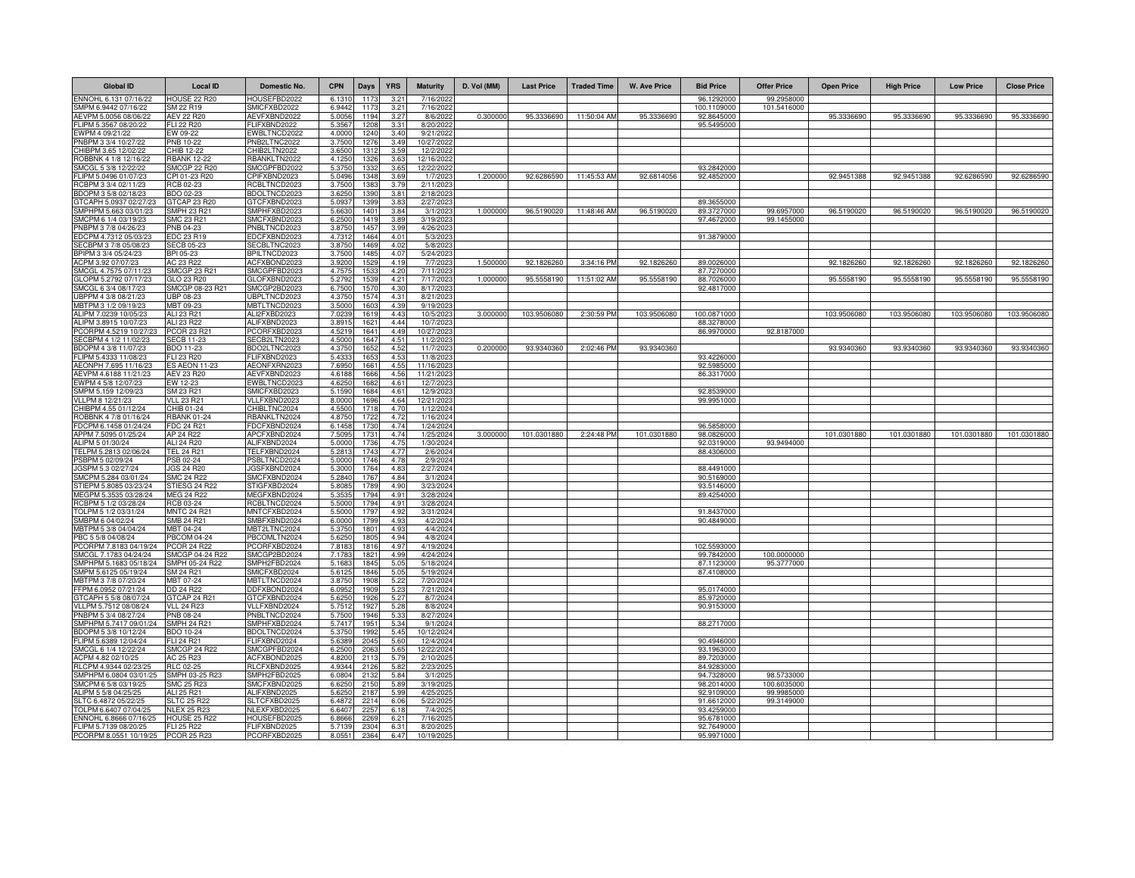| <b>Global ID</b>                                | <b>Local ID</b>                       | Domestic No.                 | <b>CPN</b>      | Days         | <b>YRS</b>   | <b>Maturity</b>         | D. Vol (MM) | <b>Last Price</b> | <b>Traded Time</b> | <b>W. Ave Price</b> | <b>Bid Price</b>          | <b>Offer Price</b>       | <b>Open Price</b> | <b>High Price</b> | <b>Low Price</b> | <b>Close Price</b> |
|-------------------------------------------------|---------------------------------------|------------------------------|-----------------|--------------|--------------|-------------------------|-------------|-------------------|--------------------|---------------------|---------------------------|--------------------------|-------------------|-------------------|------------------|--------------------|
| ENNOHL 6.131 07/16/22                           | HOUSE 22 R20                          | HOUSEFBD2022                 | 6.131           | 1173         | 3.21         | 7/16/202                |             |                   |                    |                     | 96.1292000                | 99.2958000               |                   |                   |                  |                    |
| SMPM 6.9442 07/16/22                            | SM 22 R19                             | SMICFXBD2022                 | 6.9442          | 1173         | 3.21         | 7/16/2022               |             |                   |                    |                     | 100.1109000               | 101.5416000              |                   |                   |                  |                    |
| AEVPM 5.0056 08/06/22<br>FLIPM 5.3567 08/20/22  | <b>AEV 22 R20</b><br>FLI 22 R20       | AEVFXBND2022<br>FLIFXBND2022 | 5.005<br>5.356  | 1194<br>1208 | 3.27<br>3.31 | 8/6/202<br>8/20/2022    | 0.30000     | 95.3336690        | 11:50:04 AM        | 95.3336690          | 92.8645000<br>95.5495000  |                          | 95.3336690        | 95.3336690        | 95.3336690       | 95.3336690         |
| EWPM 4 09/21/22                                 | EW 09-22                              | <b>EWBLTNCD2022</b>          | 4.000           | 1240         | 3.40         | 9/21/202                |             |                   |                    |                     |                           |                          |                   |                   |                  |                    |
| PNBPM 3 3/4 10/27/22                            | PNB 10-22                             | PNB2LTNC2022                 | 3.750           | 1276         | 3.49         | 10/27/2022              |             |                   |                    |                     |                           |                          |                   |                   |                  |                    |
| CHIBPM 3.65 12/02/22                            | CHIB 12-22                            | CHIB2LTN2022                 | 3.650           | 131          | 3.59         | 12/2/202                |             |                   |                    |                     |                           |                          |                   |                   |                  |                    |
| ROBBNK 4 1/8 12/16/22                           | <b>RBANK 12-22</b>                    | RBANKLTN2022                 | 4.125           | 1326         | 3.63         | 12/16/2022              |             |                   |                    |                     |                           |                          |                   |                   |                  |                    |
| SMCGL 5 3/8 12/22/22                            | <b>SMCGP 22 R20</b>                   | SMCGPFBD2022                 | 5.375           | 133          | 3.65         | 12/22/2022              |             |                   |                    |                     | 93.2842000                |                          |                   |                   |                  |                    |
| FLIPM 5.0496 01/07/23<br>RCBPM 3 3/4 02/11/23   | CPI 01-23 R20<br>RCB 02-23            | CPIFXBND2023<br>RCBLTNCD2023 | 5.0496<br>3.750 | 1348<br>1383 | 3.69<br>3.79 | 1/7/2023<br>2/11/2023   | 1.200000    | 92.6286590        | 11:45:53 AM        | 92.6814056          | 92.4852000                |                          | 92.9451388        | 92.9451388        | 92.6286590       | 92.6286590         |
| BDOPM 3 5/8 02/18/23                            | BDO 02-23                             | <b>BDOLTNCD2023</b>          | 3.625           | 1390         | 3.81         | 2/18/2023               |             |                   |                    |                     |                           |                          |                   |                   |                  |                    |
| GTCAPH 5.0937 02/27/23                          | GTCAP 23 R20                          | GTCFXBND2023                 | 5.093           | 1399         | 3.83         | 2/27/2023               |             |                   |                    |                     | 89.3655000                |                          |                   |                   |                  |                    |
| SMPHPM 5.663 03/01/23                           | <b>SMPH 23 R21</b>                    | SMPHFXBD2023                 | 5.663           | 1401         | 3.84         | 3/1/2023                | 1.000000    | 96.5190020        | 11:48:46 AM        | 96.5190020          | 89.3727000                | 99.6957000               | 96.5190020        | 96.5190020        | 96.5190020       | 96.5190020         |
| SMCPM 6 1/4 03/19/23                            | SMC 23 R21                            | SMCFXBND2023                 | 6.250           | 1419         | 3.89         | 3/19/202                |             |                   |                    |                     | 97.4672000                | 99.1455000               |                   |                   |                  |                    |
| PNBPM 3 7/8 04/26/23<br>EDCPM 4.7312 05/03/23   | PNB 04-23<br>EDC 23 R19               | PNBLTNCD2023<br>EDCFXBND2023 | 3.875<br>4.731  | 1457<br>1464 | 3.99<br>4.01 | 4/26/2023<br>5/3/2023   |             |                   |                    |                     | 91.3879000                |                          |                   |                   |                  |                    |
| SECBPM 3 7/8 05/08/23                           | <b>SECB 05-23</b>                     | SECBLTNC2023                 | 3.875           | 1469         | 4.02         | 5/8/2023                |             |                   |                    |                     |                           |                          |                   |                   |                  |                    |
| BPIPM 3 3/4 05/24/23                            | BPI 05-23                             | BPILTNCD2023                 | 3.750           | 1485         | 4.07         | 5/24/2023               |             |                   |                    |                     |                           |                          |                   |                   |                  |                    |
| ACPM 3.92 07/07/23                              | AC 23 R22                             | ACFXBOND2023                 | 3.920           | 1529         | 4.19         | 7/7/2023                | 1.50000     | 92.1826260        | 3:34:16 PM         | 92.1826260          | 89.0026000                |                          | 92.1826260        | 92.1826260        | 92.1826260       | 92.1826260         |
| SMCGL 4.7575 07/11/23                           | SMCGP 23 R21                          | SMCGPFBD2023                 | 4.757           | 153          | 4.20         | 7/11/2023               |             |                   |                    |                     | 87.7270000                |                          |                   |                   |                  |                    |
| GLOPM 5.2792 07/17/23<br>SMCGL 6 3/4 08/17/23   | GLO 23 R20<br>SMCGP 08-23 R21         | GLOFXBND2023<br>SMCGP2BD2023 | 5.279<br>6.750  | 153<br>157   | 4.21<br>4.30 | 7/17/202<br>8/17/2023   | 1.00000     | 95.5558190        | 11:51:02 AM        | 95.5558190          | 88.7026000<br>92.4817000  |                          | 95.5558190        | 95.5558190        | 95.5558190       | 95.5558190         |
| UBPPM 4 3/8 08/21/23                            | UBP 08-23                             | UBPLTNCD2023                 | 4.375           | 157          | 4.31         | 8/21/2023               |             |                   |                    |                     |                           |                          |                   |                   |                  |                    |
| MBTPM 3 1/2 09/19/23                            | MBT 09-23                             | MBTLTNCD2023                 | 3.500           | 160          | 4.39         | 9/19/2023               |             |                   |                    |                     |                           |                          |                   |                   |                  |                    |
| ALIPM 7.0239 10/05/23                           | ALI 23 R21                            | ALI2FXBD2023                 | 7.023           | 1619         | 4.43         | 10/5/202                | 3,000000    | 103.9506080       | 2:30:59 PM         | 103.9506080         | 100.0871000               |                          | 103.9506080       | 103.9506080       | 103.9506080      | 103.9506080        |
| ALIPM 3.8915 10/07/23                           | ALI 23 R22                            | ALIFXBND2023                 | 3.891           | 1621         | 4.44         | 10/7/2023               |             |                   |                    |                     | 88.3278000                |                          |                   |                   |                  |                    |
| PCORPM 4.5219 10/27/23                          | <b>PCOR 23 R21</b>                    | PCORFXBD2023                 | 4.5219          | 1641         | 4.49         | 10/27/2023              |             |                   |                    |                     | 86.9970000                | 92.8187000               |                   |                   |                  |                    |
| SECBPM 4 1/2 11/02/23<br>BDOPM 4 3/8 11/07/23   | SECB 11-23<br><b>BDO 11-23</b>        | SECB2LTN2023<br>BDO2LTNC2023 | 4.500<br>4.375  | 1647<br>1652 | 4.51<br>4.52 | 11/2/2023<br>11/7/202   | 0.200000    | 93.9340360        | 2:02:46 PM         | 93.9340360          |                           |                          | 93.9340360        | 93.9340360        | 93.9340360       | 93.9340360         |
| FLIPM 5.4333 11/08/23                           | <b>FLI 23 R20</b>                     | FLIFXBND2023                 | 5.433           | 165          | 4.53         | 11/8/202                |             |                   |                    |                     | 93.4226000                |                          |                   |                   |                  |                    |
| AEONPH 7.695 11/16/23                           | <b>ES AEON 11-23</b>                  | AEONFXRN2023                 | 7.695           | 1661         | 4.55         | 11/16/2023              |             |                   |                    |                     | 92.5985000                |                          |                   |                   |                  |                    |
| AEVPM 4.6188 11/21/23                           | <b>AEV 23 R20</b>                     | AEVFXBND2023                 | 4.618           | 1666         | 4.56         | 11/21/2023              |             |                   |                    |                     | 86.3317000                |                          |                   |                   |                  |                    |
| EWPM 4 5/8 12/07/23                             | EW 12-23                              | EWBLTNCD2023                 | 4.625           | 1682         | 4.61         | 12/7/202                |             |                   |                    |                     |                           |                          |                   |                   |                  |                    |
| SMPM 5.159 12/09/23<br>VLLPM 8 12/21/23         | SM 23 R21<br><b>VLL 23 R21</b>        | SMICFXBD2023<br>VLLFXBND2023 | 5.1590<br>8.000 | 1684<br>1696 | 4.61<br>4.64 | 12/9/2023<br>12/21/2023 |             |                   |                    |                     | 92.8539000<br>99.9951000  |                          |                   |                   |                  |                    |
| CHIBPM 4.55 01/12/24                            | CHIB 01-24                            | CHIBLTNC2024                 | 4.5500          | 1718         | 4.70         | 1/12/2024               |             |                   |                    |                     |                           |                          |                   |                   |                  |                    |
| ROBBNK 4 7/8 01/16/24                           | <b>RBANK 01-24</b>                    | RBANKLTN2024                 | 4.875           | 172          | 4.72         | 1/16/2024               |             |                   |                    |                     |                           |                          |                   |                   |                  |                    |
| FDCPM 6.1458 01/24/24                           | FDC 24 R21                            | FDCFXBND2024                 | 6.145           | 173          | 4.74         | 1/24/2024               |             |                   |                    |                     | 96.5858000                |                          |                   |                   |                  |                    |
| APPM 7.5095 01/25/24                            | AP 24 R22                             | APCFXBND2024                 | 7.509           | 173          | 4.74         | 1/25/2024               | 3.00000     | 101.0301880       | 2:24:48 PM         | 101.0301880         | 98.0826000                |                          | 101.0301880       | 101.0301880       | 101.0301880      | 101.0301880        |
| ALIPM 5 01/30/24<br>TELPM 5.2813 02/06/24       | ALI 24 R20<br><b>TEL 24 R21</b>       | ALIFXBND2024<br>TELFXBND2024 | 5.000<br>5.281  | 1736<br>1743 | 4.75<br>4.77 | 1/30/2024<br>2/6/2024   |             |                   |                    |                     | 92.0319000<br>88.4306000  | 93.9494000               |                   |                   |                  |                    |
| PSBPM 5 02/09/24                                | PSB 02-24                             | PSBLTNCD2024                 | 5,0000          | 1746         | 4.78         | 2/9/2024                |             |                   |                    |                     |                           |                          |                   |                   |                  |                    |
| JGSPM 5.3 02/27/24                              | <b>JGS 24 R20</b>                     | JGSFXBND2024                 | 5.300           | 1764         | 4.83         | 2/27/2024               |             |                   |                    |                     | 88.4491000                |                          |                   |                   |                  |                    |
| SMCPM 5.284 03/01/24                            | <b>SMC 24 R22</b>                     | SMCFXBND2024                 | 5.2840          | 1767         | 4.84         | 3/1/2024                |             |                   |                    |                     | 90.5169000                |                          |                   |                   |                  |                    |
| STIEPM 5.8085 03/23/24                          | STIESG 24 R22                         | STIGFXBD2024                 | 5.808           | 1789         | 4.90         | 3/23/2024               |             |                   |                    |                     | 93.5146000                |                          |                   |                   |                  |                    |
| MEGPM 5.3535 03/28/24<br>RCBPM 5 1/2 03/28/24   | <b>MEG 24 R22</b><br><b>RCB 03-24</b> | MEGFXBND2024<br>RCBLTNCD2024 | 5.353<br>5.500  | 1794<br>1794 | 4.91<br>4.91 | 3/28/2024<br>3/28/2024  |             |                   |                    |                     | 89.4254000                |                          |                   |                   |                  |                    |
| TOLPM 5 1/2 03/31/24                            | <b>MNTC 24 R21</b>                    | MNTCFXBD2024                 | 5.500           | 1797         | 4.92         | 3/31/2024               |             |                   |                    |                     | 91.8437000                |                          |                   |                   |                  |                    |
| SMBPM 6 04/02/24                                | <b>SMB 24 R21</b>                     | SMBFXBND2024                 | 6.000           | 1799         | 4.93         | 4/2/2024                |             |                   |                    |                     | 90.4849000                |                          |                   |                   |                  |                    |
| MBTPM 5 3/8 04/04/24                            | MBT 04-24                             | MBT2LTNC2024                 | 5.375           | 1801         | 4.93         | 4/4/2024                |             |                   |                    |                     |                           |                          |                   |                   |                  |                    |
| PBC 5 5/8 04/08/24                              | <b>PBCOM 04-24</b>                    | PBCOMLTN2024                 | 5.625           | 1805         | 4.94         | 4/8/2024                |             |                   |                    |                     |                           |                          |                   |                   |                  |                    |
| PCORPM 7.8183 04/19/24<br>SMCGL 7.1783 04/24/24 | <b>PCOR 24 R22</b><br>SMCGP 04-24 R22 | PCORFXBD2024<br>SMCGP2BD2024 | 7.818<br>7.178  | 1816<br>1821 | 4.97<br>4.99 | 4/19/2024<br>4/24/2024  |             |                   |                    |                     | 102.5593000<br>99.7842000 | 100.0000000              |                   |                   |                  |                    |
| SMPHPM 5.1683 05/18/24                          | SMPH 05-24 R22                        | SMPH2FBD2024                 | 5.168           | 1845         | 5.05         | 5/18/2024               |             |                   |                    |                     | 87.1123000                | 95.3777000               |                   |                   |                  |                    |
| SMPM 5.6125 05/19/24                            | SM 24 R21                             | MICFXBD2024                  | 5.612           | 1846         | 5.05         | 5/19/2024               |             |                   |                    |                     | 87.4108000                |                          |                   |                   |                  |                    |
| MBTPM 3 7/8 07/20/24                            | MBT 07-24                             | MBTLTNCD2024                 | 3.875           | 190          | 5.22         | 7/20/2024               |             |                   |                    |                     |                           |                          |                   |                   |                  |                    |
| FFPM 6.0952 07/21/24                            | DD 24 R22                             | DDFXBOND2024                 | 6.095           | 190          | 5.23         | 7/21/2024               |             |                   |                    |                     | 95.0174000                |                          |                   |                   |                  |                    |
| GTCAPH 5 5/8 08/07/24<br>VLLPM 5.7512 08/08/24  | GTCAP 24 R21<br><b>VLL 24 R23</b>     | GTCFXBND2024<br>VLLFXBND2024 | 5.625<br>5.7512 | 192<br>192   | 5.27<br>5.28 | 8/7/2024<br>8/8/2024    |             |                   |                    |                     | 85.9720000<br>90.9153000  |                          |                   |                   |                  |                    |
| PNBPM 5 3/4 08/27/24                            | PNB 08-24                             | PNBLTNCD2024                 | 5.7500          | 1946         | 5.33         | 8/27/2024               |             |                   |                    |                     |                           |                          |                   |                   |                  |                    |
| SMPHPM 5.7417 09/01/24                          | <b>SMPH 24 R21</b>                    | SMPHFXBD2024                 | 5.7417          | 1951         | 5.34         | 9/1/2024                |             |                   |                    |                     | 88.2717000                |                          |                   |                   |                  |                    |
| BDOPM 5 3/8 10/12/24                            | BDO 10-24                             | BDOLTNCD2024                 | 5.375           | 1992         | 5.45         | 10/12/2024              |             |                   |                    |                     |                           |                          |                   |                   |                  |                    |
| FLIPM 5.6389 12/04/24                           | <b>FLI 24 R21</b>                     | FLIFXBND2024                 | 5.638           | 2045         | 5.60         | 12/4/2024               |             |                   |                    |                     | 90.4946000<br>93.1963000  |                          |                   |                   |                  |                    |
| SMCGL 6 1/4 12/22/24<br>ACPM 4.82 02/10/25      | <b>SMCGP 24 R22</b><br>AC 25 R23      | SMCGPFBD2024<br>ACFXBOND2025 | 6.250<br>4.820  | 2063<br>2113 | 5.65<br>5.79 | 12/22/2024<br>2/10/2025 |             |                   |                    |                     | 89.7203000                |                          |                   |                   |                  |                    |
| RLCPM 4.9344 02/23/25                           | <b>RLC 02-25</b>                      | RLCFXBND2025                 | 4.934           | 2126         | 5.82         | 2/23/202                |             |                   |                    |                     | 84.9283000                |                          |                   |                   |                  |                    |
| SMPHPM 6.0804 03/01/25                          | SMPH 03-25 R23                        | SMPH2FBD2025                 | 6.080           | 2132         | 5.84         | 3/1/202                 |             |                   |                    |                     | 94.7328000                | 98.5733000               |                   |                   |                  |                    |
| SMCPM 6 5/8 03/19/25                            | SMC 25 R23                            | SMCFXBND2025                 | 6.625           | 2150         | 5.89         | 3/19/202                |             |                   |                    |                     | 98.2014000                | 100.6035000              |                   |                   |                  |                    |
| ALIPM 5 5/8 04/25/25                            | ALI 25 R21<br><b>SLTC 25 R22</b>      | ALIFXBND2025<br>SLTCFXBD2025 | 5.625<br>6.4872 | 2187<br>2214 | 5.99<br>6.06 | 4/25/2025<br>5/22/2025  |             |                   |                    |                     | 92.9109000<br>91.6612000  | 99.9985000<br>99.3149000 |                   |                   |                  |                    |
| SLTC 6.4872 05/22/25<br>TOLPM 6.6407 07/04/25   | <b>NLEX 25 R23</b>                    | NLEXFXBD2025                 | 6.640           | 2257         | 6.18         | 7/4/2025                |             |                   |                    |                     | 93.4259000                |                          |                   |                   |                  |                    |
| ENNOHL 6.8666 07/16/25                          | HOUSE 25 R22                          | HOUSEFBD2025                 | 6.866           | 226          | 6.2          | 7/16/202                |             |                   |                    |                     | 95.6781000                |                          |                   |                   |                  |                    |
| FLIPM 5.7139 08/20/25                           | FLI 25 R22                            | FLIFXBND2025                 | 5.713           | 230          | 6.31         | 8/20/202                |             |                   |                    |                     | 92.7649000                |                          |                   |                   |                  |                    |
| PCORPM 8.0551 10/19/25                          | <b>PCOR 25 R23</b>                    | PCORFXBD2025                 | 8.055           | 236          | 6.47         | 10/19/202               |             |                   |                    |                     | 95.9971000                |                          |                   |                   |                  |                    |